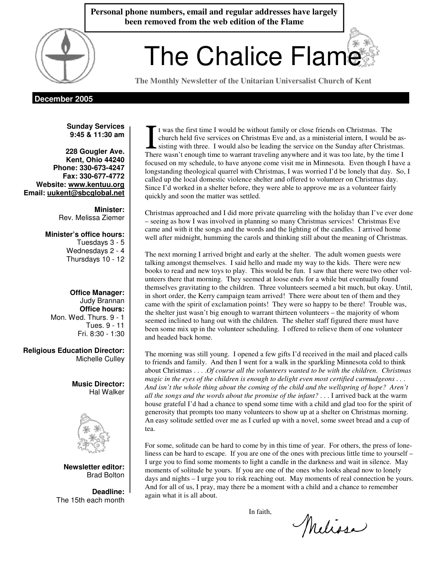**Personal phone numbers, email and regular addresses have largely been removed from the web edition of the Flame** 

# $\left( \begin{array}{c} \begin{array}{c} \circ \\ \text{ } \end{array} \right)$  The Chalice Flame

**The Monthly Newsletter of the Unitarian Universalist Church of Kent** 

# **December 2005**

**Sunday Services 9:45 & 11:30 am** 

**228 Gougler Ave. Kent, Ohio 44240 Phone: 330-673-4247 Fax: 330-677-4772 Website: www.kentuu.org Email: uukent@sbcglobal.net**

> **Minister:**  Rev. Melissa Ziemer

**Minister's office hours:**  Tuesdays 3 - 5 Wednesdays 2 - 4 Thursdays 10 - 12

**Office Manager:** Judy Brannan **Office hours:** Mon. Wed. Thurs. 9 - 1 Tues. 9 - 11 Fri. 8:30 - 1:30

**Religious Education Director:**  Michelle Culley

> **Music Director:**  Hal Walker



**Newsletter editor:**  Brad Bolton

**Deadline:**  The 15th each month

t was the first time I would be without family or close friends on Christmas. The church held five services on Christmas Eve and, as a ministerial intern, I would be assisting with three. I would also be leading the service on the Sunday after Christmas. There wasn't enough time to warrant traveling anywhere and it was too late, by the time I focused on my schedule, to have anyone come visit me in Minnesota. Even though I have a longstanding theological quarrel with Christmas, I was worried I'd be lonely that day. So, I called up the local domestic violence shelter and offered to volunteer on Christmas day. Since I'd worked in a shelter before, they were able to approve me as a volunteer fairly quickly and soon the matter was settled.

Christmas approached and I did more private quarreling with the holiday than I've ever done – seeing as how I was involved in planning so many Christmas services! Christmas Eve came and with it the songs and the words and the lighting of the candles. I arrived home well after midnight, humming the carols and thinking still about the meaning of Christmas.

The next morning I arrived bright and early at the shelter. The adult women guests were talking amongst themselves. I said hello and made my way to the kids. There were new books to read and new toys to play. This would be fun. I saw that there were two other volunteers there that morning. They seemed at loose ends for a while but eventually found themselves gravitating to the children. Three volunteers seemed a bit much, but okay. Until, in short order, the Kerry campaign team arrived! There were about ten of them and they came with the spirit of exclamation points! They were so happy to be there! Trouble was, the shelter just wasn't big enough to warrant thirteen volunteers – the majority of whom seemed inclined to hang out with the children. The shelter staff figured there must have been some mix up in the volunteer scheduling. I offered to relieve them of one volunteer and headed back home.

The morning was still young. I opened a few gifts I'd received in the mail and placed calls to friends and family. And then I went for a walk in the sparkling Minnesota cold to think about Christmas . . . .*Of course all the volunteers wanted to be with the children. Christmas magic in the eyes of the children is enough to delight even most certified curmudgeons . . . And isn't the whole thing about the coming of the child and the wellspring of hope? Aren't all the songs and the words about the promise of the infant?* . . . I arrived back at the warm house grateful I'd had a chance to spend some time with a child and glad too for the spirit of generosity that prompts too many volunteers to show up at a shelter on Christmas morning. An easy solitude settled over me as I curled up with a novel, some sweet bread and a cup of tea.

For some, solitude can be hard to come by in this time of year. For others, the press of loneliness can be hard to escape. If you are one of the ones with precious little time to yourself – I urge you to find some moments to light a candle in the darkness and wait in silence. May moments of solitude be yours. If you are one of the ones who looks ahead now to lonely days and nights – I urge you to risk reaching out. May moments of real connection be yours. And for all of us, I pray, may there be a moment with a child and a chance to remember again what it is all about.

In faith,

Melissa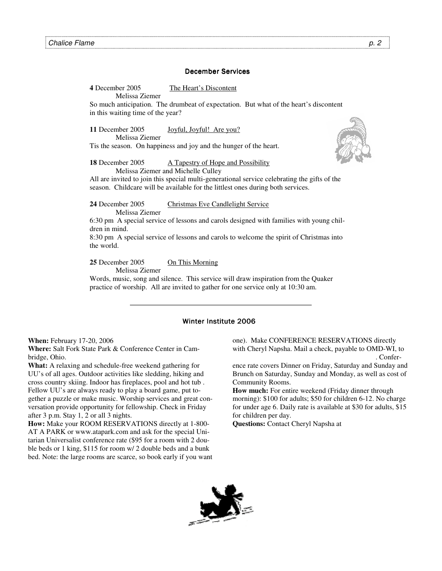## December Services

**4** December 2005 The Heart's Discontent Melissa Ziemer

So much anticipation. The drumbeat of expectation. But what of the heart's discontent in this waiting time of the year?

**11** December 2005 Joyful, Joyful! Are you? Melissa Ziemer

Tis the season. On happiness and joy and the hunger of the heart.

**18** December 2005 **A Tapestry of Hope and Possibility** Melissa Ziemer and Michelle Culley

All are invited to join this special multi-generational service celebrating the gifts of the season. Childcare will be available for the littlest ones during both services.

**24** December 2005 Christmas Eve Candlelight Service Melissa Ziemer

6:30 pm A special service of lessons and carols designed with families with young children in mind.

8:30 pm A special service of lessons and carols to welcome the spirit of Christmas into the world.

**25** December 2005 On This Morning

Melissa Ziemer

Words, music, song and silence. This service will draw inspiration from the Quaker practice of worship. All are invited to gather for one service only at 10:30 am.

## Winter Institute 2006

**When:** February 17-20, 2006

**Where:** Salt Fork State Park & Conference Center in Cambridge, Ohio.

**What:** A relaxing and schedule-free weekend gathering for UU's of all ages. Outdoor activities like sledding, hiking and cross country skiing. Indoor has fireplaces, pool and hot tub . Fellow UU's are always ready to play a board game, put together a puzzle or make music. Worship services and great conversation provide opportunity for fellowship. Check in Friday after 3 p.m. Stay 1, 2 or all 3 nights.

**How:** Make your ROOM RESERVATIONS directly at 1-800- AT A PARK or www.atapark.com and ask for the special Unitarian Universalist conference rate (\$95 for a room with 2 double beds or 1 king, \$115 for room w/ 2 double beds and a bunk bed. Note: the large rooms are scarce, so book early if you want one). Make CONFERENCE RESERVATIONS directly with Cheryl Napsha. Mail a check, payable to OMD-WI, to . Confer-

ence rate covers Dinner on Friday, Saturday and Sunday and Brunch on Saturday, Sunday and Monday, as well as cost of Community Rooms.

**How much:** For entire weekend (Friday dinner through morning): \$100 for adults; \$50 for children 6-12. No charge for under age 6. Daily rate is available at \$30 for adults, \$15 for children per day.

**Questions:** Contact Cheryl Napsha at

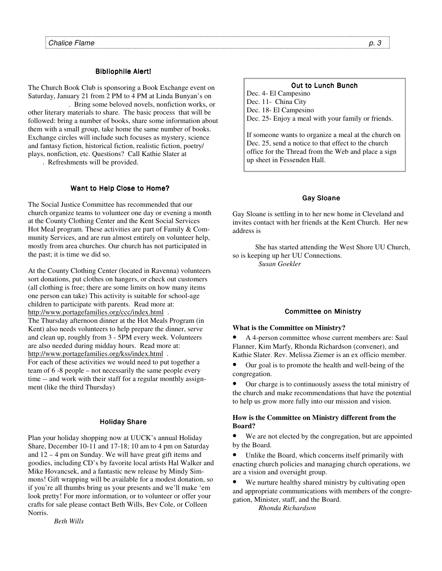## **Bibliophile Alert!**

The Church Book Club is sponsoring a Book Exchange event on Saturday, January 21 from 2 PM to 4 PM at Linda Bunyan's on

. Bring some beloved novels, nonfiction works, or other literary materials to share. The basic process that will be followed: bring a number of books, share some information about them with a small group, take home the same number of books. Exchange circles will include such focuses as mystery, science and fantasy fiction, historical fiction, realistic fiction, poetry/ plays, nonfiction, etc. Questions? Call Kathie Slater at

. Refreshments will be provided.

## Want to Help Close to Home?

The Social Justice Committee has recommended that our church organize teams to volunteer one day or evening a month at the County Clothing Center and the Kent Social Services Hot Meal program. These activities are part of Family & Community Services, and are run almost entirely on volunteer help, mostly from area churches. Our church has not participated in the past; it is time we did so.

At the County Clothing Center (located in Ravenna) volunteers sort donations, put clothes on hangers, or check out customers (all clothing is free; there are some limits on how many items one person can take) This activity is suitable for school-age children to participate with parents. Read more at: http://www.portagefamilies.org/ccc/index.html .

The Thursday afternoon dinner at the Hot Meals Program (in Kent) also needs volunteers to help prepare the dinner, serve and clean up, roughly from 3 - 5PM every week. Volunteers are also needed during midday hours. Read more at: http://www.portagefamilies.org/kss/index.html .

For each of these activities we would need to put together a team of 6 -8 people – not necessarily the same people every time -- and work with their staff for a regular monthly assignment (like the third Thursday)

## **Holiday Share**

Plan your holiday shopping now at UUCK's annual Holiday Share, December 10-11 and 17-18; 10 am to 4 pm on Saturday and 12 – 4 pm on Sunday. We will have great gift items and goodies, including CD's by favorite local artists Hal Walker and Mike Hovancsek, and a fantastic new release by Mindy Simmons! Gift wrapping will be available for a modest donation, so if you're all thumbs bring us your presents and we'll make 'em look pretty! For more information, or to volunteer or offer your crafts for sale please contact Beth Wills, Bev Cole, or Colleen Norris.

*Beth Wills* 

## **Out to Lunch Bunch**

Dec. 4- El Campesino Dec. 11- China City Dec. 18- El Campesino Dec. 25- Enjoy a meal with your family or friends.

If someone wants to organize a meal at the church on Dec. 25, send a notice to that effect to the church office for the Thread from the Web and place a sign up sheet in Fessenden Hall.

## Gay Sloane

Gay Sloane is settling in to her new home in Cleveland and invites contact with her friends at the Kent Church. Her new address is

She has started attending the West Shore UU Church, so is keeping up her UU Connections. *Susan Goekler*

## **Committee on Ministry**

#### **What is the Committee on Ministry?**

• A 4-person committee whose current members are: Saul Flanner, Kim Marfy, Rhonda Richardson (convener), and Kathie Slater. Rev. Melissa Ziemer is an ex officio member.

• Our goal is to promote the health and well-being of the congregation.

• Our charge is to continuously assess the total ministry of the church and make recommendations that have the potential to help us grow more fully into our mission and vision.

#### **How is the Committee on Ministry different from the Board?**

• We are not elected by the congregation, but are appointed by the Board.

• Unlike the Board, which concerns itself primarily with enacting church policies and managing church operations, we are a vision and oversight group.

We nurture healthy shared ministry by cultivating open and appropriate communications with members of the congregation, Minister, staff, and the Board.

 *Rhonda Richardson*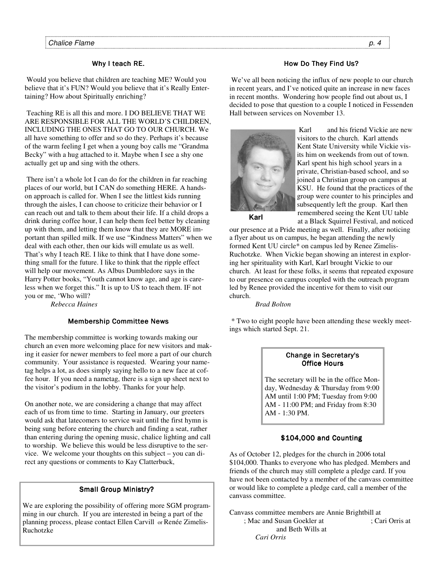## Why I teach RE.

 Would you believe that children are teaching ME? Would you believe that it's FUN? Would you believe that it's Really Entertaining? How about Spiritually enriching?

 Teaching RE is all this and more. I DO BELIEVE THAT WE ARE RESPONSIBLE FOR ALL THE WORLD'S CHILDREN, INCLUDING THE ONES THAT GO TO OUR CHURCH. We all have something to offer and so do they. Perhaps it's because of the warm feeling I get when a young boy calls me "Grandma Becky" with a hug attached to it. Maybe when I see a shy one actually get up and sing with the others.

 There isn't a whole lot I can do for the children in far reaching places of our world, but I CAN do something HERE. A handson approach is called for. When I see the littlest kids running through the aisles, I can choose to criticize their behavior or I can reach out and talk to them about their life. If a child drops a drink during coffee hour, I can help them feel better by cleaning up with them, and letting them know that they are MORE important than spilled milk. If we use "Kindness Matters" when we deal with each other, then our kids will emulate us as well. That's why I teach RE. I like to think that I have done something small for the future. I like to think that the ripple effect will help our movement. As Albus Dumbledore says in the Harry Potter books, "Youth cannot know age, and age is careless when we forget this." It is up to US to teach them. IF not you or me, 'Who will?

 *Rebecca Haines* 

# **Membership Committee News**

The membership committee is working towards making our church an even more welcoming place for new visitors and making it easier for newer members to feel more a part of our church community. Your assistance is requested. Wearing your nametag helps a lot, as does simply saying hello to a new face at coffee hour. If you need a nametag, there is a sign up sheet next to the visitor's podium in the lobby. Thanks for your help.

On another note, we are considering a change that may affect each of us from time to time. Starting in January, our greeters would ask that latecomers to service wait until the first hymn is being sung before entering the church and finding a seat, rather than entering during the opening music, chalice lighting and call to worship. We believe this would be less disruptive to the service. We welcome your thoughts on this subject – you can direct any questions or comments to Kay Clatterbuck,

# Small Group Ministry?

We are exploring the possibility of offering more SGM programming in our church. If you are interested in being a part of the planning process, please contact Ellen Carvill or Renée Zimelis-Ruchotzke

# How Do They Find Us?

 We've all been noticing the influx of new people to our church in recent years, and I've noticed quite an increase in new faces in recent months. Wondering how people find out about us, I decided to pose that question to a couple I noticed in Fessenden Hall between services on November 13.



Karl and his friend Vickie are new visitors to the church. Karl attends Kent State University while Vickie visits him on weekends from out of town. Karl spent his high school years in a private, Christian-based school, and so joined a Christian group on campus at KSU. He found that the practices of the group were counter to his principles and subsequently left the group. Karl then remembered seeing the Kent UU table at a Black Squirrel Festival, and noticed

**Karl** 

our presence at a Pride meeting as well. Finally, after noticing a flyer about us on campus, he began attending the newly formed Kent UU circle\* on campus led by Renee Zimelis-Ruchotzke. When Vickie began showing an interest in exploring her spirituality with Karl, Karl brought Vickie to our church. At least for these folks, it seems that repeated exposure to our presence on campus coupled with the outreach program led by Renee provided the incentive for them to visit our church.

*Brad Bolton* 

 \* Two to eight people have been attending these weekly meetings which started Sept. 21.

# Change in Secretary's Change in Secretary's **Office Hours**

The secretary will be in the office Monday, Wednesday & Thursday from 9:00 AM until 1:00 PM; Tuesday from 9:00 AM - 11:00 PM; and Friday from 8:30 AM - 1:30 PM.

# $$104,000$  and Counting

As of October 12, pledges for the church in 2006 total \$104,000. Thanks to everyone who has pledged. Members and friends of the church may still complete a pledge card. If you have not been contacted by a member of the canvass committee or would like to complete a pledge card, call a member of the canvass committee.

Canvass committee members are Annie Brightbill at 753. Shannov and Susan Goekler at (330) 633-1856; Cari Orris at and Beth Wills at

 *Cari Orris*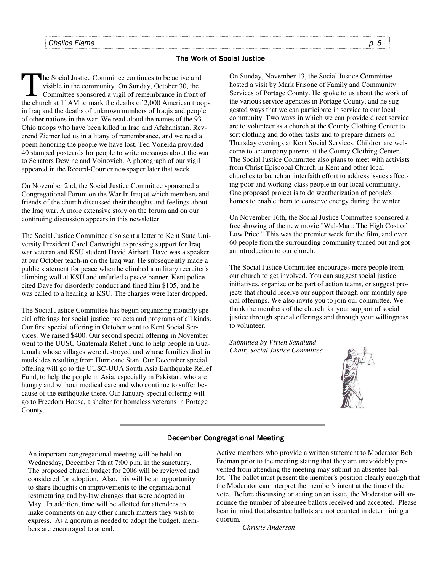## The Work of Social Justice

The Social Justice Committee continues to be active and<br>visible in the community. On Sunday, October 30, the<br>Committee sponsored a vigil of remembrance in front o visible in the community. On Sunday, October 30, the Committee sponsored a vigil of remembrance in front of the church at 11AM to mark the deaths of 2,000 American troops in Iraq and the deaths of unknown numbers of Iraqis and people of other nations in the war. We read aloud the names of the 93 Ohio troops who have been killed in Iraq and Afghanistan. Reverend Ziemer led us in a litany of remembrance, and we read a poem honoring the people we have lost. Ted Voneida provided 40 stamped postcards for people to write messages about the war to Senators Dewine and Voinovich. A photograph of our vigil appeared in the Record-Courier newspaper later that week.

On November 2nd, the Social Justice Committee sponsored a Congregational Forum on the War In Iraq at which members and friends of the church discussed their thoughts and feelings about the Iraq war. A more extensive story on the forum and on our continuing discussion appears in this newsletter.

The Social Justice Committee also sent a letter to Kent State University President Carol Cartwright expressing support for Iraq war veteran and KSU student David Airhart. Dave was a speaker at our October teach-in on the Iraq war. He subsequently made a public statement for peace when he climbed a military recruiter's climbing wall at KSU and unfurled a peace banner. Kent police cited Dave for disorderly conduct and fined him \$105, and he was called to a hearing at KSU. The charges were later dropped.

The Social Justice Committee has begun organizing monthly special offerings for social justice projects and programs of all kinds. Our first special offering in October went to Kent Social Services. We raised \$400. Our second special offering in November went to the UUSC Guatemala Relief Fund to help people in Guatemala whose villages were destroyed and whose families died in mudslides resulting from Hurricane Stan. Our December special offering will go to the UUSC-UUA South Asia Earthquake Relief Fund, to help the people in Asia, especially in Pakistan, who are hungry and without medical care and who continue to suffer because of the earthquake there. Our January special offering will go to Freedom House, a shelter for homeless veterans in Portage County.

On Sunday, November 13, the Social Justice Committee hosted a visit by Mark Frisone of Family and Community Services of Portage County. He spoke to us about the work of the various service agencies in Portage County, and he suggested ways that we can participate in service to our local community. Two ways in which we can provide direct service are to volunteer as a church at the County Clothing Center to sort clothing and do other tasks and to prepare dinners on Thursday evenings at Kent Social Services. Children are welcome to accompany parents at the County Clothing Center. The Social Justice Committee also plans to meet with activists from Christ Episcopal Church in Kent and other local churches to launch an interfaith effort to address issues affecting poor and working-class people in our local community. One proposed project is to do weatherization of people's homes to enable them to conserve energy during the winter.

On November 16th, the Social Justice Committee sponsored a free showing of the new movie "Wal-Mart: The High Cost of Low Price." This was the premier week for the film, and over 60 people from the surrounding community turned out and got an introduction to our church.

The Social Justice Committee encourages more people from our church to get involved. You can suggest social justice initiatives, organize or be part of action teams, or suggest projects that should receive our support through our monthly special offerings. We also invite you to join our committee. We thank the members of the church for your support of social justice through special offerings and through your willingness to volunteer.

*Submitted by Vivien Sandlund Chair, Social Justice Committee* 



# December Congregational Meeting

An important congregational meeting will be held on Wednesday, December 7th at 7:00 p.m. in the sanctuary. The proposed church budget for 2006 will be reviewed and considered for adoption. Also, this will be an opportunity to share thoughts on improvements to the organizational restructuring and by-law changes that were adopted in May. In addition, time will be allotted for attendees to make comments on any other church matters they wish to express. As a quorum is needed to adopt the budget, members are encouraged to attend.

Active members who provide a written statement to Moderator Bob Erdman prior to the meeting stating that they are unavoidably prevented from attending the meeting may submit an absentee ballot. The ballot must present the member's position clearly enough that the Moderator can interpret the member's intent at the time of the vote. Before discussing or acting on an issue, the Moderator will announce the number of absentee ballots received and accepted. Please bear in mind that absentee ballots are not counted in determining a quorum.

*Christie Anderson*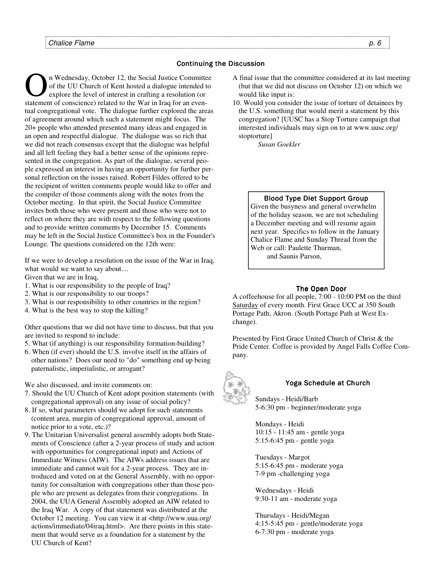## **Continuing the Discussion**

of the UU Church of Kent hosted a dialogue intended to explore the level of interest in crafting a resolution (or of the UU Church of Kent hosted a dialogue intended to explore the level of interest in crafting a resolution (or statement of conscience) related to the War in Iraq for an eventual congregational vote. The dialogue further explored the areas of agreement around which such a statement might focus. The 20+ people who attended presented many ideas and engaged in an open and respectful dialogue. The dialogue was so rich that we did not reach consensus except that the dialogue was helpful and all left feeling they had a better sense of the opinions represented in the congregation. As part of the dialogue, several people expressed an interest in having an opportunity for further personal reflection on the issues raised. Robert Fildes offered to be the recipient of written comments people would like to offer and the compiler of those comments along with the notes from the October meeting. In that spirit, the Social Justice Committee invites both those who were present and those who were not to reflect on where they are with respect to the following questions and to provide written comments by December 15. Comments may be left in the Social Justice Committee's box in the Founder's Lounge. The questions considered on the 12th were:

If we were to develop a resolution on the issue of the War in Iraq, what would we want to say about....

Given that we are in Iraq,

- 1. What is our responsibility to the people of Iraq?
- 2. What is our responsibility to our troops?
- 3. What is our responsibility to other countries in the region?
- 4. What is the best way to stop the killing?

Other questions that we did not have time to discuss, but that you are invited to respond to include:

- 5. What (if anything) is our responsibility formation-building?
- 6. When (if ever) should the U.S. involve itself in the affairs of other nations? Does our need to "do" something end up being paternalistic, imperialistic, or arrogant?

We also discussed, and invite comments on:

- 7. Should the UU Church of Kent adopt position statements (with congregational approval) on any issue of social policy?
- 8. If so, what parameters should we adopt for such statements (content area, margin of congregational approval, amount of notice prior to a vote, etc.)?
- 9. The Unitarian Universalist general assembly adopts both Statements of Conscience (after a 2-year process of study and action with opportunities for congregational input) and Actions of Immediate Witness (AIW). The AIWs address issues that are immediate and cannot wait for a 2-year process. They are introduced and voted on at the General Assembly, with no opportunity for consultation with congregations other than those people who are present as delegates from their congregations. In 2004, the UUA General Assembly adopted an AIW related to the Iraq War. A copy of that statement was distributed at the October 12 meeting. You can view it at <http://www.uua.org/ actions/immediate/04iraq.html>. Are there points in this statement that would serve as a foundation for a statement by the UU Church of Kent?
- A final issue that the committee considered at its last meeting (but that we did not discuss on October 12) on which we would like input is:
- 10. Would you consider the issue of torture of detainees by the U.S. something that would merit a statement by this congregation? [UUSC has a Stop Torture campaign that interested individuals may sign on to at www.uusc.org/ stoptorture]

*Susan Goekler* 

# Blood Type Diet Support Group

Given the busyness and general overwhelm of the holiday season, we are not scheduling a December meeting and will resume again next year. Specifics to follow in the January Chalice Flame and Sunday Thread from the Web or call: Paulette Thurman, and Saunis Parson.

## The Open Door

A coffeehouse for all people, 7:00 - 10:00 PM on the third Saturday of every month. First Grace UCC at 350 South Portage Path, Akron. (South Portage Path at West Exchange).

Presented by First Grace United Church of Christ & the Pride Center. Coffee is provided by Angel Falls Coffee Company.



# Yoga Schedule at Church

Sundays - Heidi/Barb 5-6:30 pm - beginner/moderate yoga

Mondays - Heidi 10:15 - 11:45 am - gentle yoga 5:15-6:45 pm - gentle yoga

Tuesdays - Margot 5:15-6:45 pm - moderate yoga 7-9 pm -challenging yoga

Wednesdays - Heidi 9:30-11 am - moderate yoga

Thursdays - Heidi/Megan 4:15-5:45 pm - gentle/moderate yoga 6-7:30 pm - moderate yoga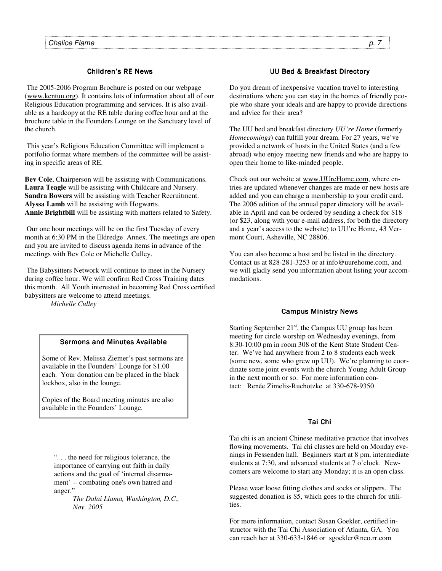# Children's RE News

 The 2005-2006 Program Brochure is posted on our webpage (www.kentuu.org). It contains lots of information about all of our Religious Education programming and services. It is also available as a hardcopy at the RE table during coffee hour and at the brochure table in the Founders Lounge on the Sanctuary level of the church.

 This year's Religious Education Committee will implement a portfolio format where members of the committee will be assisting in specific areas of RE.

**Bev Cole**, Chairperson will be assisting with Communications. **Laura Teagle** will be assisting with Childcare and Nursery. **Sandra Bowers** will be assisting with Teacher Recruitment. **Alyssa Lamb** will be assisting with Hogwarts. **Annie Brightbill** will be assisting with matters related to Safety.

 Our one hour meetings will be on the first Tuesday of every month at 6:30 PM in the Eldredge Annex. The meetings are open and you are invited to discuss agenda items in advance of the meetings with Bev Cole or Michelle Culley.

 The Babysitters Network will continue to meet in the Nursery during coffee hour. We will confirm Red Cross Training dates this month. All Youth interested in becoming Red Cross certified babysitters are welcome to attend meetings.

 *Michelle Culley* 

# UU Bed & Breakfast Directory

Do you dream of inexpensive vacation travel to interesting destinations where you can stay in the homes of friendly people who share your ideals and are happy to provide directions and advice for their area?

The UU bed and breakfast directory *UU're Home* (formerly *Homecomings*) can fulfill your dream. For 27 years, we've provided a network of hosts in the United States (and a few abroad) who enjoy meeting new friends and who are happy to open their home to like-minded people.

Check out our website at www.UUreHome.com, where entries are updated whenever changes are made or new hosts are added and you can charge a membership to your credit card. The 2006 edition of the annual paper directory will be available in April and can be ordered by sending a check for \$18 (or \$23, along with your e-mail address, for both the directory and a year's access to the website) to UU're Home, 43 Vermont Court, Asheville, NC 28806.

You can also become a host and be listed in the directory. Contact us at 828-281-3253 or at info@uurehome.com, and we will gladly send you information about listing your accommodations.

## **Campus Ministry News**

Starting September  $21<sup>st</sup>$ , the Campus UU group has been meeting for circle worship on Wednesday evenings, from 8:30-10:00 pm in room 308 of the Kent State Student Center. We've had anywhere from 2 to 8 students each week (some new, some who grew up UU). We're planning to coordinate some joint events with the church Young Adult Group in the next month or so. For more information contact: Renée Zimelis-Ruchotzke at 330-678-9350

# Tai Chi

Tai chi is an ancient Chinese meditative practice that involves flowing movements. Tai chi classes are held on Monday evenings in Fessenden hall. Beginners start at 8 pm, intermediate students at 7:30, and advanced students at 7 o'clock. Newcomers are welcome to start any Monday; it is an open class.

Please wear loose fitting clothes and socks or slippers. The suggested donation is \$5, which goes to the church for utilities.

For more information, contact Susan Goekler, certified instructor with the Tai Chi Association of Atlanta, GA. You can reach her at 330-633-1846 or sgoekler@neo.rr.com

## Sermons and Minutes Available

Some of Rev. Melissa Ziemer's past sermons are available in the Founders' Lounge for \$1.00 each. Your donation can be placed in the black lockbox, also in the lounge.

Copies of the Board meeting minutes are also available in the Founders' Lounge.

". . . the need for religious tolerance, the importance of carrying out faith in daily actions and the goal of 'internal disarmament' -- combating one's own hatred and anger.'

> *The Dalai Llama, Washington, D.C., Nov. 2005*